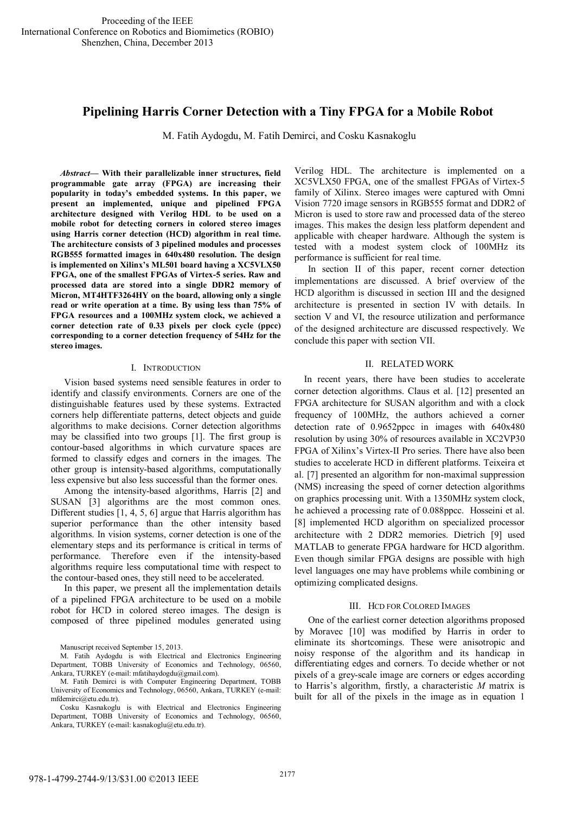# **Pipelining Harris Corner Detection with a Tiny FPGA for a Mobile Robot**

M. Fatih Aydogdu, M. Fatih Demirci, and Cosku Kasnakoglu

*Abstract***— With their parallelizable inner structures, field programmable gate array (FPGA) are increasing their popularity in today's embedded systems. In this paper, we present an implemented, unique and pipelined FPGA architecture designed with Verilog HDL to be used on a mobile robot for detecting corners in colored stereo images using Harris corner detection (HCD) algorithm in real time. The architecture consists of 3 pipelined modules and processes RGB555 formatted images in 640x480 resolution. The design is implemented on Xilinx's ML501 board having a XC5VLX50 FPGA, one of the smallest FPGAs of Virtex-5 series. Raw and processed data are stored into a single DDR2 memory of Micron, MT4HTF3264HY on the board, allowing only a single read or write operation at a time. By using less than 75% of FPGA resources and a 100MHz system clock, we achieved a corner detection rate of 0.33 pixels per clock cycle (ppcc) corresponding to a corner detection frequency of 54Hz for the stereo images.** 

#### I. INTRODUCTION

Vision based systems need sensible features in order to identify and classify environments. Corners are one of the distinguishable features used by these systems. Extracted corners help differentiate patterns, detect objects and guide algorithms to make decisions. Corner detection algorithms may be classified into two groups [1]. The first group is contour-based algorithms in which curvature spaces are formed to classify edges and corners in the images. The other group is intensity-based algorithms, computationally less expensive but also less successful than the former ones.

Among the intensity-based algorithms, Harris [2] and SUSAN [3] algorithms are the most common ones. Different studies [1, 4, 5, 6] argue that Harris algorithm has superior performance than the other intensity based algorithms. In vision systems, corner detection is one of the elementary steps and its performance is critical in terms of performance. Therefore even if the intensity-based algorithms require less computational time with respect to the contour-based ones, they still need to be accelerated.

In this paper, we present all the implementation details of a pipelined FPGA architecture to be used on a mobile robot for HCD in colored stereo images. The design is composed of three pipelined modules generated using

Manuscript received September 15, 2013.

M. Fatih Aydogdu is with Electrical and Electronics Engineering Department, TOBB University of Economics and Technology, 06560, Ankara, TURKEY (e-mail: mfatihaydogdu@gmail.com).

M. Fatih Demirci is with Computer Engineering Department, TOBB University of Economics and Technology, 06560, Ankara, TURKEY (e-mail: mfdemirci@etu.edu.tr).

Cosku Kasnakoglu is with Electrical and Electronics Engineering Department, TOBB University of Economics and Technology, 06560, Ankara, TURKEY (e-mail: kasnakoglu@etu.edu.tr).

Verilog HDL. The architecture is implemented on a XC5VLX50 FPGA, one of the smallest FPGAs of Virtex-5 family of Xilinx. Stereo images were captured with Omni Vision 7720 image sensors in RGB555 format and DDR2 of Micron is used to store raw and processed data of the stereo images. This makes the design less platform dependent and applicable with cheaper hardware. Although the system is tested with a modest system clock of 100MHz its performance is sufficient for real time.

In section II of this paper, recent corner detection implementations are discussed. A brief overview of the HCD algorithm is discussed in section III and the designed architecture is presented in section IV with details. In section V and VI, the resource utilization and performance of the designed architecture are discussed respectively. We conclude this paper with section VII.

## II. RELATED WORK

In recent years, there have been studies to accelerate corner detection algorithms. Claus et al. [12] presented an FPGA architecture for SUSAN algorithm and with a clock frequency of 100MHz, the authors achieved a corner detection rate of 0.9652ppcc in images with 640x480 resolution by using 30% of resources available in XC2VP30 FPGA of Xilinx's Virtex-II Pro series. There have also been studies to accelerate HCD in different platforms. Teixeira et al. [7] presented an algorithm for non-maximal suppression (NMS) increasing the speed of corner detection algorithms on graphics processing unit. With a 1350MHz system clock, he achieved a processing rate of 0.088ppcc. Hosseini et al. [8] implemented HCD algorithm on specialized processor architecture with 2 DDR2 memories. Dietrich [9] used MATLAB to generate FPGA hardware for HCD algorithm. Even though similar FPGA designs are possible with high level languages one may have problems while combining or optimizing complicated designs.

#### III. HCD FOR COLORED IMAGES

One of the earliest corner detection algorithms proposed by Moravec [10] was modified by Harris in order to eliminate its shortcomings. These were anisotropic and noisy response of the algorithm and its handicap in differentiating edges and corners. To decide whether or not pixels of a grey-scale image are corners or edges according to Harris's algorithm, firstly, a characteristic *M* matrix is built for all of the pixels in the image as in equation 1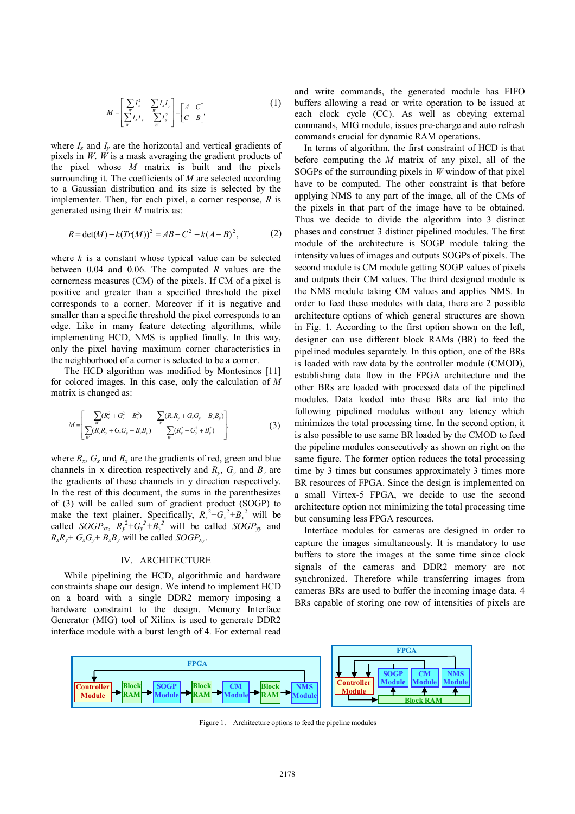$$
M = \begin{bmatrix} \sum_{w} I_x^2 & \sum_{w} I_x I_y \\ \sum_{w} I_x I_y & \sum_{w} I_y^2 \end{bmatrix} = \begin{bmatrix} A & C \\ C & B \end{bmatrix},
$$
 (1)

where  $I_x$  and  $I_y$  are the horizontal and vertical gradients of pixels in *W*. *W* is a mask averaging the gradient products of the pixel whose *M* matrix is built and the pixels surrounding it. The coefficients of *M* are selected according to a Gaussian distribution and its size is selected by the implementer. Then, for each pixel, a corner response, *R* is generated using their *M* matrix as:

$$
R = \det(M) - k(Tr(M))^2 = AB - C^2 - k(A+B)^2,
$$
 (2)

where *k* is a constant whose typical value can be selected between 0.04 and 0.06. The computed *R* values are the cornerness measures (CM) of the pixels. If CM of a pixel is positive and greater than a specified threshold the pixel corresponds to a corner. Moreover if it is negative and smaller than a specific threshold the pixel corresponds to an edge. Like in many feature detecting algorithms, while implementing HCD, NMS is applied finally. In this way, only the pixel having maximum corner characteristics in the neighborhood of a corner is selected to be a corner.

The HCD algorithm was modified by Montesinos [11] for colored images. In this case, only the calculation of *M* matrix is changed as:

$$
M = \left[ \frac{\sum_{w} (R_x^2 + G_x^2 + B_x^2)}{\sum_{w} (R_x R_y + G_x G_y + B_x B_y)} - \frac{\sum_{w} (R_x R_y + G_x G_y + B_x B_y)}{\sum_{w} (R_y^2 + G_y^2 + B_y^2)} \right]
$$
(3)

where  $R_x$ ,  $G_x$  and  $B_x$  are the gradients of red, green and blue channels in x direction respectively and  $R_y$ ,  $G_y$  and  $B_y$  are the gradients of these channels in y direction respectively. In the rest of this document, the sums in the parenthesizes of (3) will be called sum of gradient product (SOGP) to make the text plainer. Specifically,  $R_x^2 + G_x^2 + B_x^2$  will be called *SOGP*<sub>*xx*</sub>,  $R_y^2 + G_y^2 + B_y^2$  will be called *SOGP*<sub>*yy*</sub> and  $R_x R_y + G_x G_y + B_x B_y$  will be called *SOGP*<sub>*xy*</sub>.

#### IV. ARCHITECTURE

While pipelining the HCD, algorithmic and hardware constraints shape our design. We intend to implement HCD on a board with a single DDR2 memory imposing a hardware constraint to the design. Memory Interface Generator (MIG) tool of Xilinx is used to generate DDR2 interface module with a burst length of 4. For external read and write commands, the generated module has FIFO buffers allowing a read or write operation to be issued at each clock cycle (CC). As well as obeying external commands, MIG module, issues pre-charge and auto refresh commands crucial for dynamic RAM operations.

In terms of algorithm, the first constraint of HCD is that before computing the *M* matrix of any pixel, all of the SOGPs of the surrounding pixels in *W* window of that pixel have to be computed. The other constraint is that before applying NMS to any part of the image, all of the CMs of the pixels in that part of the image have to be obtained. Thus we decide to divide the algorithm into 3 distinct phases and construct 3 distinct pipelined modules. The first module of the architecture is SOGP module taking the intensity values of images and outputs SOGPs of pixels. The second module is CM module getting SOGP values of pixels and outputs their CM values. The third designed module is the NMS module taking CM values and applies NMS. In order to feed these modules with data, there are 2 possible architecture options of which general structures are shown in Fig. 1. According to the first option shown on the left, designer can use different block RAMs (BR) to feed the pipelined modules separately. In this option, one of the BRs is loaded with raw data by the controller module (CMOD), establishing data flow in the FPGA architecture and the other BRs are loaded with processed data of the pipelined modules. Data loaded into these BRs are fed into the following pipelined modules without any latency which minimizes the total processing time. In the second option, it is also possible to use same BR loaded by the CMOD to feed the pipeline modules consecutively as shown on right on the same figure. The former option reduces the total processing time by 3 times but consumes approximately 3 times more BR resources of FPGA. Since the design is implemented on a small Virtex-5 FPGA, we decide to use the second architecture option not minimizing the total processing time but consuming less FPGA resources.

Interface modules for cameras are designed in order to capture the images simultaneously. It is mandatory to use buffers to store the images at the same time since clock signals of the cameras and DDR2 memory are not synchronized. Therefore while transferring images from cameras BRs are used to buffer the incoming image data. 4 BRs capable of storing one row of intensities of pixels are



Figure 1. Architecture options to feed the pipeline modules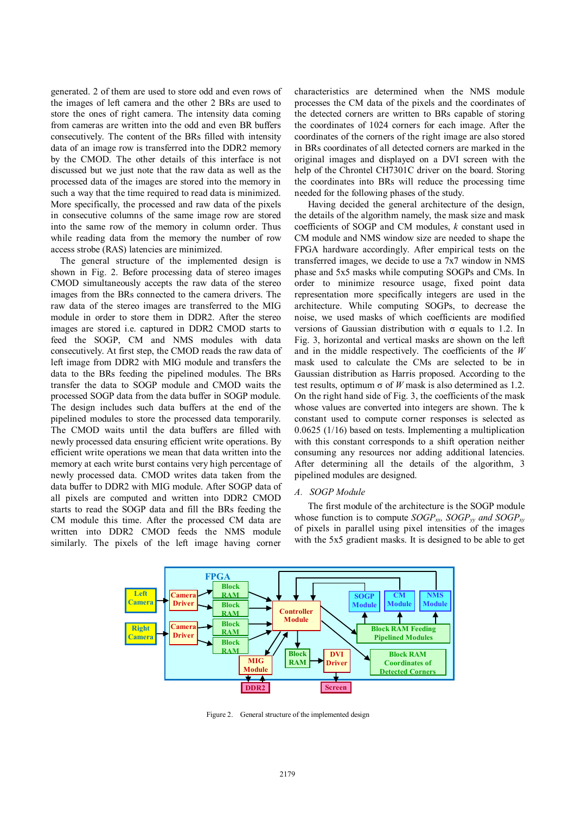generated. 2 of them are used to store odd and even rows of the images of left camera and the other 2 BRs are used to store the ones of right camera. The intensity data coming from cameras are written into the odd and even BR buffers consecutively. The content of the BRs filled with intensity data of an image row is transferred into the DDR2 memory by the CMOD. The other details of this interface is not discussed but we just note that the raw data as well as the processed data of the images are stored into the memory in such a way that the time required to read data is minimized. More specifically, the processed and raw data of the pixels in consecutive columns of the same image row are stored into the same row of the memory in column order. Thus while reading data from the memory the number of row access strobe (RAS) latencies are minimized.

The general structure of the implemented design is shown in Fig. 2. Before processing data of stereo images CMOD simultaneously accepts the raw data of the stereo images from the BRs connected to the camera drivers. The raw data of the stereo images are transferred to the MIG module in order to store them in DDR2. After the stereo images are stored i.e. captured in DDR2 CMOD starts to feed the SOGP, CM and NMS modules with data consecutively. At first step, the CMOD reads the raw data of left image from DDR2 with MIG module and transfers the data to the BRs feeding the pipelined modules. The BRs transfer the data to SOGP module and CMOD waits the processed SOGP data from the data buffer in SOGP module. The design includes such data buffers at the end of the pipelined modules to store the processed data temporarily. The CMOD waits until the data buffers are filled with newly processed data ensuring efficient write operations. By efficient write operations we mean that data written into the memory at each write burst contains very high percentage of newly processed data. CMOD writes data taken from the data buffer to DDR2 with MIG module. After SOGP data of all pixels are computed and written into DDR2 CMOD starts to read the SOGP data and fill the BRs feeding the CM module this time. After the processed CM data are written into DDR2 CMOD feeds the NMS module similarly. The pixels of the left image having corner

characteristics are determined when the NMS module processes the CM data of the pixels and the coordinates of the detected corners are written to BRs capable of storing the coordinates of 1024 corners for each image. After the coordinates of the corners of the right image are also stored in BRs coordinates of all detected corners are marked in the original images and displayed on a DVI screen with the help of the Chrontel CH7301C driver on the board. Storing the coordinates into BRs will reduce the processing time needed for the following phases of the study.

Having decided the general architecture of the design, the details of the algorithm namely, the mask size and mask coefficients of SOGP and CM modules, *k* constant used in CM module and NMS window size are needed to shape the FPGA hardware accordingly. After empirical tests on the transferred images, we decide to use a 7x7 window in NMS phase and 5x5 masks while computing SOGPs and CMs. In order to minimize resource usage, fixed point data representation more specifically integers are used in the architecture. While computing SOGPs, to decrease the noise, we used masks of which coefficients are modified versions of Gaussian distribution with  $\sigma$  equals to 1.2. In Fig. 3, horizontal and vertical masks are shown on the left and in the middle respectively. The coefficients of the *W* mask used to calculate the CMs are selected to be in Gaussian distribution as Harris proposed. According to the test results, optimum  $\sigma$  of *W* mask is also determined as 1.2. On the right hand side of Fig. 3, the coefficients of the mask whose values are converted into integers are shown. The k constant used to compute corner responses is selected as 0.0625 (1/16) based on tests. Implementing a multiplication with this constant corresponds to a shift operation neither consuming any resources nor adding additional latencies. After determining all the details of the algorithm, 3 pipelined modules are designed.

## *A. SOGP Module*

The first module of the architecture is the SOGP module whose function is to compute  $SOGP_{xy}$ ,  $SOGP_{yy}$  and  $SOGP_{xy}$ of pixels in parallel using pixel intensities of the images with the 5x5 gradient masks. It is designed to be able to get



Figure 2. General structure of the implemented design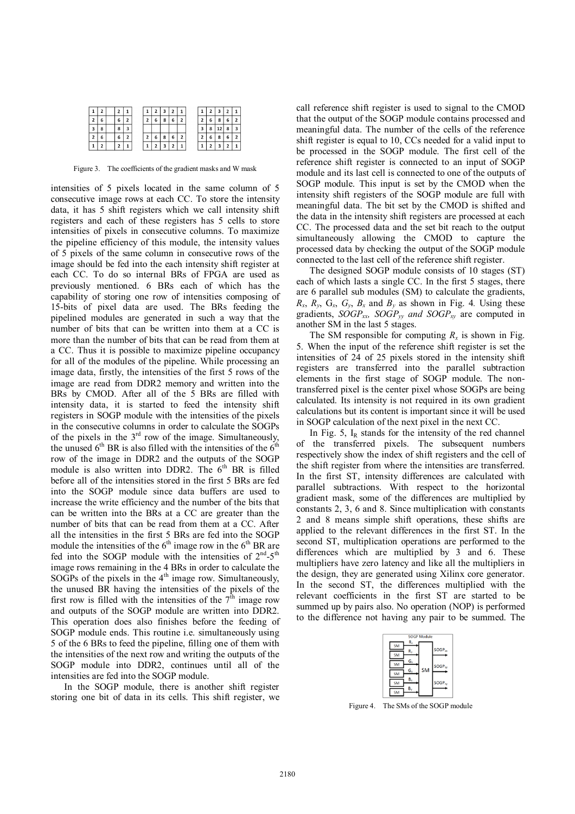|   |  | $^{\rm 12}$ |  | 2 | 3 | .2 | $\mathbf{1}$ |  | 2 | . 3 | $\cdot$ 2 $\cdot$ |  |
|---|--|-------------|--|---|---|----|--------------|--|---|-----|-------------------|--|
|   |  | 6           |  | ь | 8 | 6  |              |  | 6 | 8   |                   |  |
| 3 |  | 8           |  |   |   |    |              |  | 8 |     | 8                 |  |
|   |  | 6           |  |   | 8 | 6  |              |  |   | 8   |                   |  |
|   |  |             |  |   |   |    |              |  |   |     |                   |  |

Figure 3. The coefficients of the gradient masks and W mask

intensities of 5 pixels located in the same column of 5 consecutive image rows at each CC. To store the intensity data, it has 5 shift registers which we call intensity shift registers and each of these registers has 5 cells to store intensities of pixels in consecutive columns. To maximize the pipeline efficiency of this module, the intensity values of 5 pixels of the same column in consecutive rows of the image should be fed into the each intensity shift register at each CC. To do so internal BRs of FPGA are used as previously mentioned. 6 BRs each of which has the capability of storing one row of intensities composing of 15-bits of pixel data are used. The BRs feeding the pipelined modules are generated in such a way that the number of bits that can be written into them at a CC is more than the number of bits that can be read from them at a CC. Thus it is possible to maximize pipeline occupancy for all of the modules of the pipeline. While processing an image data, firstly, the intensities of the first 5 rows of the image are read from DDR2 memory and written into the BRs by CMOD. After all of the 5 BRs are filled with intensity data, it is started to feed the intensity shift registers in SOGP module with the intensities of the pixels in the consecutive columns in order to calculate the SOGPs of the pixels in the  $3<sup>rd</sup>$  row of the image. Simultaneously, the unused  $6<sup>th</sup>$  BR is also filled with the intensities of the  $6<sup>th</sup>$ row of the image in DDR2 and the outputs of the SOGP module is also written into DDR2. The  $6<sup>th</sup>$  BR is filled before all of the intensities stored in the first 5 BRs are fed into the SOGP module since data buffers are used to increase the write efficiency and the number of the bits that can be written into the BRs at a CC are greater than the number of bits that can be read from them at a CC. After all the intensities in the first 5 BRs are fed into the SOGP module the intensities of the  $6<sup>th</sup>$  image row in the  $6<sup>th</sup>$  BR are fed into the SOGP module with the intensities of 2<sup>nd</sup>-5<sup>th</sup> image rows remaining in the 4 BRs in order to calculate the SOGPs of the pixels in the  $4<sup>th</sup>$  image row. Simultaneously, the unused BR having the intensities of the pixels of the first row is filled with the intensities of the  $7<sup>th</sup>$  image row and outputs of the SOGP module are written into DDR2. This operation does also finishes before the feeding of SOGP module ends. This routine i.e. simultaneously using 5 of the 6 BRs to feed the pipeline, filling one of them with the intensities of the next row and writing the outputs of the SOGP module into DDR2, continues until all of the intensities are fed into the SOGP module.

In the SOGP module, there is another shift register storing one bit of data in its cells. This shift register, we call reference shift register is used to signal to the CMOD that the output of the SOGP module contains processed and meaningful data. The number of the cells of the reference shift register is equal to 10, CCs needed for a valid input to be processed in the SOGP module. The first cell of the reference shift register is connected to an input of SOGP module and its last cell is connected to one of the outputs of SOGP module. This input is set by the CMOD when the intensity shift registers of the SOGP module are full with meaningful data. The bit set by the CMOD is shifted and the data in the intensity shift registers are processed at each CC. The processed data and the set bit reach to the output simultaneously allowing the CMOD to capture the processed data by checking the output of the SOGP module connected to the last cell of the reference shift register.

The designed SOGP module consists of 10 stages (ST) each of which lasts a single CC. In the first 5 stages, there are 6 parallel sub modules (SM) to calculate the gradients,  $R_x$ ,  $R_y$ ,  $G_x$ ,  $G_y$ ,  $B_x$  and  $B_y$  as shown in Fig. 4. Using these gradients,  $SOGP_{rr}$ ,  $SOGP_{vv}$  and  $SOGP_{vv}$  are computed in another SM in the last 5 stages.

The SM responsible for computing  $R_x$  is shown in Fig. 5. When the input of the reference shift register is set the intensities of 24 of 25 pixels stored in the intensity shift registers are transferred into the parallel subtraction elements in the first stage of SOGP module. The nontransferred pixel is the center pixel whose SOGPs are being calculated. Its intensity is not required in its own gradient calculations but its content is important since it will be used in SOGP calculation of the next pixel in the next CC.

In Fig. 5,  $I_R$  stands for the intensity of the red channel of the transferred pixels. The subsequent numbers respectively show the index of shift registers and the cell of the shift register from where the intensities are transferred. In the first ST, intensity differences are calculated with parallel subtractions. With respect to the horizontal gradient mask, some of the differences are multiplied by constants 2, 3, 6 and 8. Since multiplication with constants 2 and 8 means simple shift operations, these shifts are applied to the relevant differences in the first ST. In the second ST, multiplication operations are performed to the differences which are multiplied by 3 and 6. These multipliers have zero latency and like all the multipliers in the design, they are generated using Xilinx core generator. In the second ST, the differences multiplied with the relevant coefficients in the first ST are started to be summed up by pairs also. No operation (NOP) is performed to the difference not having any pair to be summed. The

| <b>SOGP Module</b> |           |         |           |                    |  |  |  |  |  |
|--------------------|-----------|---------|-----------|--------------------|--|--|--|--|--|
|                    | <b>SM</b> | $R_{x}$ |           |                    |  |  |  |  |  |
|                    | <b>SM</b> |         |           | SOGP <sub>xx</sub> |  |  |  |  |  |
|                    | <b>SM</b> | $G_{x}$ |           |                    |  |  |  |  |  |
|                    | SM        |         | <b>SM</b> | SOGP <sub>W</sub>  |  |  |  |  |  |
|                    | SM        | B,      |           | SOGP <sub>xv</sub> |  |  |  |  |  |
|                    |           |         |           |                    |  |  |  |  |  |
|                    | SM        |         |           |                    |  |  |  |  |  |

Figure 4. The SMs of the SOGP module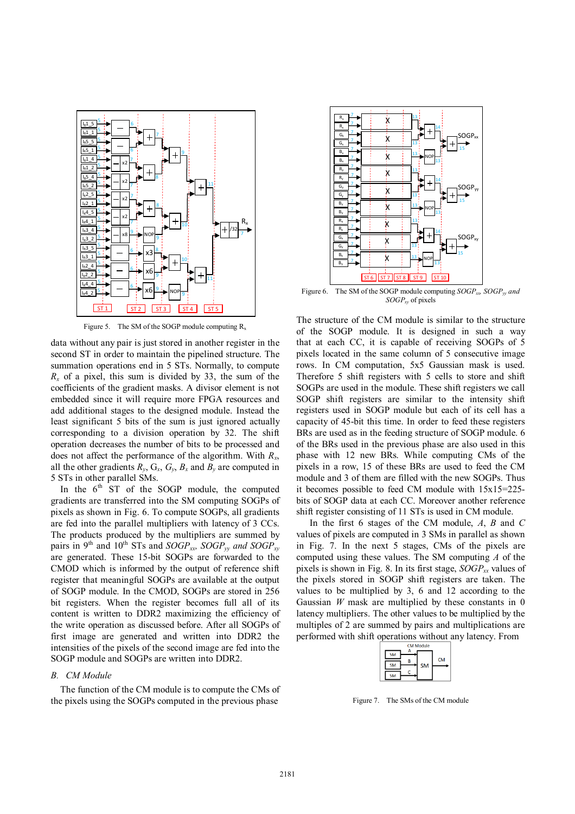

Figure 5. The SM of the SOGP module computing  $R_x$ 

data without any pair is just stored in another register in the second ST in order to maintain the pipelined structure. The summation operations end in 5 STs. Normally, to compute  $R_x$  of a pixel, this sum is divided by 33, the sum of the coefficients of the gradient masks. A divisor element is not embedded since it will require more FPGA resources and add additional stages to the designed module. Instead the least significant 5 bits of the sum is just ignored actually corresponding to a division operation by 32. The shift operation decreases the number of bits to be processed and does not affect the performance of the algorithm. With *R<sup>x</sup>* , all the other gradients  $R_y$ ,  $G_x$ ,  $G_y$ ,  $B_x$  and  $B_y$  are computed in 5 STs in other parallel SMs.

In the  $6<sup>th</sup>$  ST of the SOGP module, the computed gradients are transferred into the SM computing SOGPs of pixels as shown in Fig. 6. To compute SOGPs, all gradients are fed into the parallel multipliers with latency of 3 CCs. The products produced by the multipliers are summed by pairs in 9<sup>th</sup> and 10<sup>th</sup> STs and  $SOGP_{xy}$ ,  $SOGP_{yy}$  and  $SOGP_{xy}$ are generated. These 15-bit SOGPs are forwarded to the CMOD which is informed by the output of reference shift register that meaningful SOGPs are available at the output of SOGP module. In the CMOD, SOGPs are stored in 256 bit registers. When the register becomes full all of its content is written to DDR2 maximizing the efficiency of the write operation as discussed before. After all SOGPs of first image are generated and written into DDR2 the intensities of the pixels of the second image are fed into the SOGP module and SOGPs are written into DDR2.

#### *B. CM Module*

The function of the CM module is to compute the CMs of the pixels using the SOGPs computed in the previous phase



Figure 6. The SM of the SOGP module computing *SOGPxx, SOGPyy and SOGPxy* of pixels

The structure of the CM module is similar to the structure of the SOGP module. It is designed in such a way that at each CC, it is capable of receiving SOGPs of 5 pixels located in the same column of 5 consecutive image rows. In CM computation, 5x5 Gaussian mask is used. Therefore 5 shift registers with 5 cells to store and shift SOGPs are used in the module. These shift registers we call SOGP shift registers are similar to the intensity shift registers used in SOGP module but each of its cell has a capacity of 45-bit this time. In order to feed these registers BRs are used as in the feeding structure of SOGP module. 6 of the BRs used in the previous phase are also used in this phase with 12 new BRs. While computing CMs of the pixels in a row, 15 of these BRs are used to feed the CM module and 3 of them are filled with the new SOGPs. Thus it becomes possible to feed CM module with 15x15=225 bits of SOGP data at each CC. Moreover another reference shift register consisting of 11 STs is used in CM module.

In the first 6 stages of the CM module, *A*, *B* and *C* values of pixels are computed in 3 SMs in parallel as shown in Fig. 7. In the next 5 stages, CMs of the pixels are computed using these values. The SM computing *A* of the pixels is shown in Fig. 8. In its first stage, *SOGPxx* values of the pixels stored in SOGP shift registers are taken. The values to be multiplied by 3, 6 and 12 according to the Gaussian *W* mask are multiplied by these constants in 0 latency multipliers. The other values to be multiplied by the multiples of 2 are summed by pairs and multiplications are performed with shift operations without any latency. From



Figure 7. The SMs of the CM module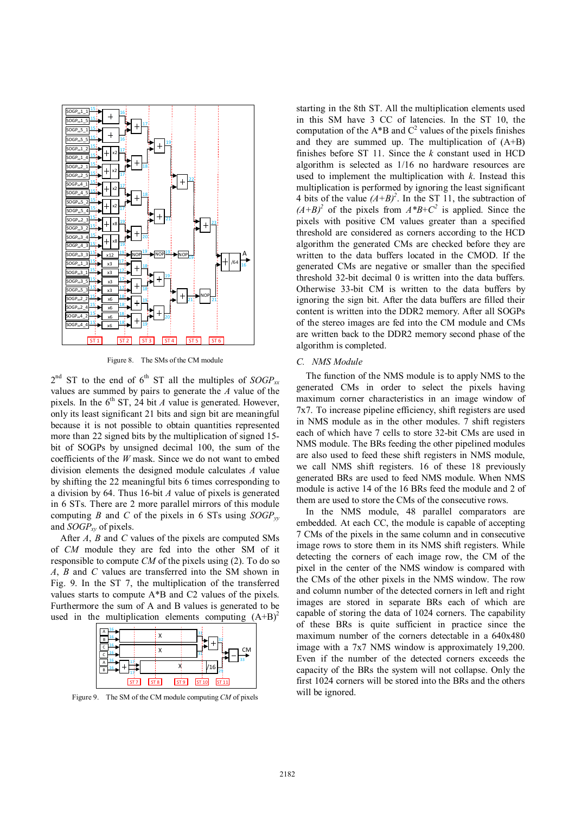

Figure 8. The SMs of the CM module

 $2<sup>nd</sup>$  ST to the end of 6<sup>th</sup> ST all the multiples of *SOGP*<sub>*xx*</sub> values are summed by pairs to generate the *A* value of the pixels. In the  $6<sup>th</sup> ST$ , 24 bit *A* value is generated. However, only its least significant 21 bits and sign bit are meaningful because it is not possible to obtain quantities represented more than 22 signed bits by the multiplication of signed 15 bit of SOGPs by unsigned decimal 100, the sum of the coefficients of the *W* mask. Since we do not want to embed division elements the designed module calculates *A* value by shifting the 22 meaningful bits 6 times corresponding to a division by 64. Thus 16-bit *A* value of pixels is generated in 6 STs. There are 2 more parallel mirrors of this module computing *B* and *C* of the pixels in 6 STs using  $SOGP_w$ and *SOGPxy* of pixels.

After *A*, *B* and *C* values of the pixels are computed SMs of *CM* module they are fed into the other SM of it responsible to compute *CM* of the pixels using (2). To do so *A*, *B* and *C* values are transferred into the SM shown in Fig. 9. In the ST 7, the multiplication of the transferred values starts to compute A\*B and C2 values of the pixels. Furthermore the sum of A and B values is generated to be used in the multiplication elements computing  $(A+B)^2$ 



Figure 9. The SM of the CM module computing *CM* of pixels

starting in the 8th ST. All the multiplication elements used in this SM have 3 CC of latencies. In the ST 10, the computation of the A\*B and  $C^2$  values of the pixels finishes and they are summed up. The multiplication of (A+B) finishes before ST 11. Since the *k* constant used in HCD algorithm is selected as 1/16 no hardware resources are used to implement the multiplication with *k*. Instead this multiplication is performed by ignoring the least significant 4 bits of the value  $(A+B)^2$ . In the ST 11, the subtraction of  $(A+B)^2$  of the pixels from  $A*B+C^2$  is applied. Since the pixels with positive CM values greater than a specified threshold are considered as corners according to the HCD algorithm the generated CMs are checked before they are written to the data buffers located in the CMOD. If the generated CMs are negative or smaller than the specified threshold 32-bit decimal 0 is written into the data buffers. Otherwise 33-bit CM is written to the data buffers by ignoring the sign bit. After the data buffers are filled their content is written into the DDR2 memory. After all SOGPs of the stereo images are fed into the CM module and CMs are written back to the DDR2 memory second phase of the algorithm is completed.

### *C. NMS Module*

The function of the NMS module is to apply NMS to the generated CMs in order to select the pixels having maximum corner characteristics in an image window of 7x7. To increase pipeline efficiency, shift registers are used in NMS module as in the other modules. 7 shift registers each of which have 7 cells to store 32-bit CMs are used in NMS module. The BRs feeding the other pipelined modules are also used to feed these shift registers in NMS module, we call NMS shift registers. 16 of these 18 previously generated BRs are used to feed NMS module. When NMS module is active 14 of the 16 BRs feed the module and 2 of them are used to store the CMs of the consecutive rows.

In the NMS module, 48 parallel comparators are embedded. At each CC, the module is capable of accepting 7 CMs of the pixels in the same column and in consecutive image rows to store them in its NMS shift registers. While detecting the corners of each image row, the CM of the pixel in the center of the NMS window is compared with the CMs of the other pixels in the NMS window. The row and column number of the detected corners in left and right images are stored in separate BRs each of which are capable of storing the data of 1024 corners. The capability of these BRs is quite sufficient in practice since the maximum number of the corners detectable in a 640x480 image with a 7x7 NMS window is approximately 19,200. Even if the number of the detected corners exceeds the capacity of the BRs the system will not collapse. Only the first 1024 corners will be stored into the BRs and the others will be ignored.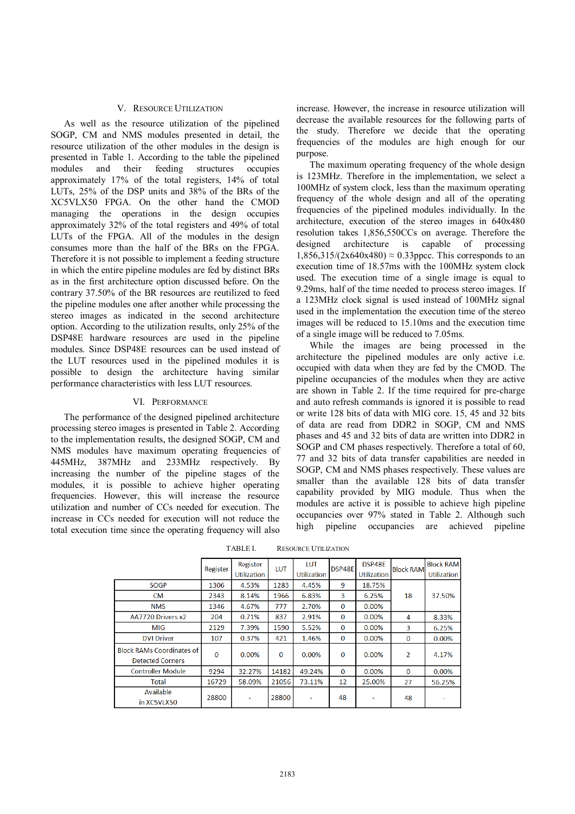## V. RESOURCE UTILIZATION

As well as the resource utilization of the pipelined SOGP, CM and NMS modules presented in detail, the resource utilization of the other modules in the design is presented in Table 1. According to the table the pipelined modules and their feeding structures occupies approximately 17% of the total registers, 14% of total LUTs, 25% of the DSP units and 38% of the BRs of the XC5VLX50 FPGA. On the other hand the CMOD managing the operations in the design occupies approximately 32% of the total registers and 49% of total LUTs of the FPGA. All of the modules in the design consumes more than the half of the BRs on the FPGA. Therefore it is not possible to implement a feeding structure in which the entire pipeline modules are fed by distinct BRs as in the first architecture option discussed before. On the contrary 37.50% of the BR resources are reutilized to feed the pipeline modules one after another while processing the stereo images as indicated in the second architecture option. According to the utilization results, only 25% of the DSP48E hardware resources are used in the pipeline modules. Since DSP48E resources can be used instead of the LUT resources used in the pipelined modules it is possible to design the architecture having similar performance characteristics with less LUT resources.

#### VI. PERFORMANCE

The performance of the designed pipelined architecture processing stereo images is presented in Table 2. According to the implementation results, the designed SOGP, CM and NMS modules have maximum operating frequencies of 445MHz, 387MHz and 233MHz respectively. By increasing the number of the pipeline stages of the modules, it is possible to achieve higher operating frequencies. However, this will increase the resource utilization and number of CCs needed for execution. The increase in CCs needed for execution will not reduce the total execution time since the operating frequency will also

increase. However, the increase in resource utilization will decrease the available resources for the following parts of the study. Therefore we decide that the operating frequencies of the modules are high enough for our purpose.

The maximum operating frequency of the whole design is 123MHz. Therefore in the implementation, we select a 100MHz of system clock, less than the maximum operating frequency of the whole design and all of the operating frequencies of the pipelined modules individually. In the architecture, execution of the stereo images in 640x480 resolution takes 1,856,550CCs on average. Therefore the designed architecture is capable of processing  $1.856.315/(2x640x480) \approx 0.33$ ppcc. This corresponds to an execution time of 18.57ms with the 100MHz system clock used. The execution time of a single image is equal to 9.29ms, half of the time needed to process stereo images. If a 123MHz clock signal is used instead of 100MHz signal used in the implementation the execution time of the stereo images will be reduced to 15.10ms and the execution time of a single image will be reduced to 7.05ms.

While the images are being processed in the architecture the pipelined modules are only active i.e. occupied with data when they are fed by the CMOD. The pipeline occupancies of the modules when they are active are shown in Table 2. If the time required for pre-charge and auto refresh commands is ignored it is possible to read or write 128 bits of data with MIG core. 15, 45 and 32 bits of data are read from DDR2 in SOGP, CM and NMS phases and 45 and 32 bits of data are written into DDR2 in SOGP and CM phases respectively. Therefore a total of 60, 77 and 32 bits of data transfer capabilities are needed in SOGP, CM and NMS phases respectively. These values are smaller than the available 128 bits of data transfer capability provided by MIG module. Thus when the modules are active it is possible to achieve high pipeline occupancies over 97% stated in Table 2. Although such high pipeline occupancies are achieved pipeline

|                                                      | Register | Register           | LUT          | LUT         | DSP48E       | DSP48E             | <b>Block RAM</b>        | <b>Block RAM</b>   |
|------------------------------------------------------|----------|--------------------|--------------|-------------|--------------|--------------------|-------------------------|--------------------|
|                                                      |          | <b>Utilization</b> |              | Utilization |              | <b>Utilization</b> |                         | <b>Utilization</b> |
| <b>SOGP</b>                                          | 1306     | 4.53%              | 1283         | 4.45%       | 9            | 18.75%             |                         |                    |
| <b>CM</b>                                            | 2343     | 8.14%              | 1966         | 6.83%       | 3            | 6.25%              | 18                      | 37.50%             |
| <b>NMS</b>                                           | 1346     | 4.67%              | 777          | 2.70%       | $\mathbf{0}$ | 0.00%              |                         |                    |
| AA7720 Drivers x2                                    | 204      | 0.71%              | 837          | 2.91%       | $\bf{0}$     | 0.00%              | 4                       | 8.33%              |
| MIG                                                  | 2129     | 7.39%              | 1590         | 5.52%       | 0            | 0.00%              | 3                       | 6.25%              |
| <b>DVI Driver</b>                                    | 107      | 0.37%              | 421          | 1.46%       | $\Omega$     | 0.00%              | $\bf{0}$                | 0.00%              |
| <b>Block RAMs Coordinates of</b><br>Detected Corners | $\Omega$ | 0.00%              | $\mathbf{0}$ | 0.00%       | $\bf{0}$     | 0.00%              | $\overline{\mathbf{c}}$ | 4.17%              |
| <b>Controller Module</b>                             | 9294     | 32.27%             | 14182        | 49.24%      | $\bf{O}$     | 0.00%              | $\bf{0}$                | 0.00%              |
| Total                                                | 16729    | 58.09%             | 21056        | 73.11%      | 12           | 25.00%             | 27                      | 56.25%             |
| Available<br>in XC5VLX50                             | 28800    | ٠                  | 28800        | -           | 48           |                    | 48                      |                    |

TABLE I. RESOURCE UTILIZATION